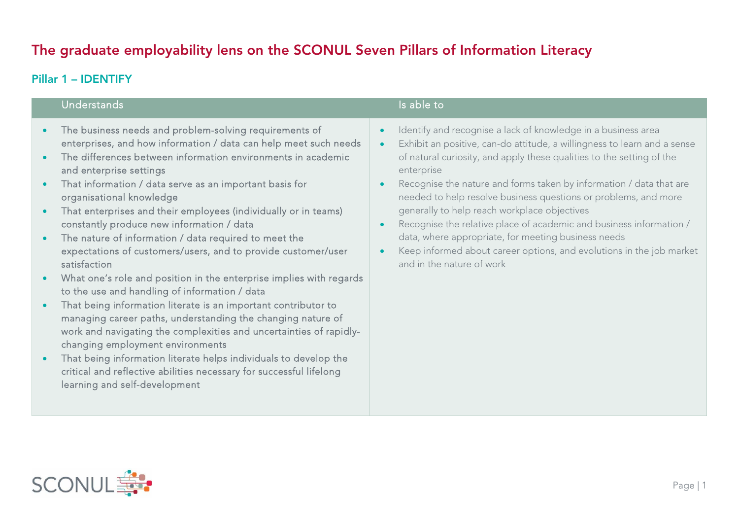# The graduate employability lens on the SCONUL Seven Pillars of Information Literacy

# Pillar 1 – IDENTIFY

### Understands

- $\bullet$  The business needs and problem-solving requirements of enterprises, and how information / data can help meet such needs
- $\bullet$  The differences between information environments in academic and enterprise settings
- $\bullet$  That information / data serve as an important basis for organisational knowledge
- $\bullet$  That enterprises and their employees (individually or in teams) constantly produce new information / data
- $\bullet$  The nature of information / data required to meet the expectations of customers/users, and to provide customer/user satisfaction
- ō What one's role and position in the enterprise implies with regards to the use and handling of information / data
- $\bullet$  That being information literate is an important contributor to managing career paths, understanding the changing nature of work and navigating the complexities and uncertainties of rapidlychanging employment environments
- $\bullet$  That being information literate helps individuals to develop the critical and reflective abilities necessary for successful lifelong learning and self-development

# Is able to

- $\bullet$ Identify and recognise a lack of knowledge in a business area
- O Exhibit an positive, can-do attitude, a willingness to learn and a sense of natural curiosity, and apply these qualities to the setting of the enterprise
- × Recognise the nature and forms taken by information / data that are needed to help resolve business questions or problems, and more generally to help reach workplace objectives
- $\bullet$  Recognise the relative place of academic and business information / data, where appropriate, for meeting business needs
- e Keep informed about career options, and evolutions in the job market and in the nature of work

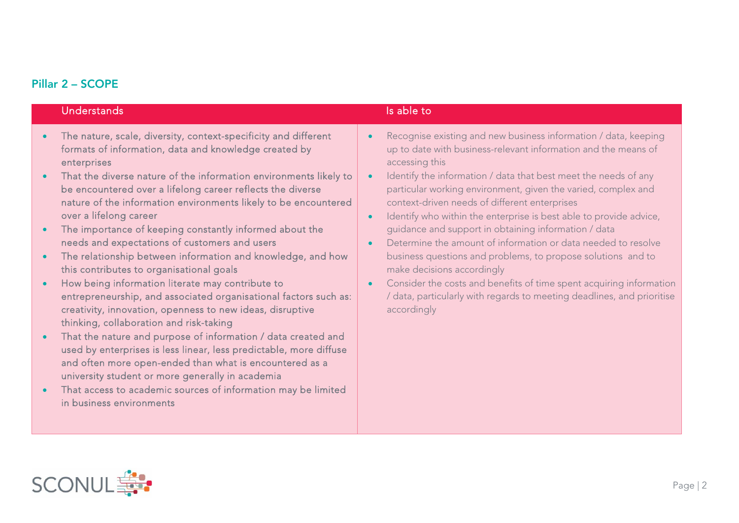### Pillar 2 – SCOPE

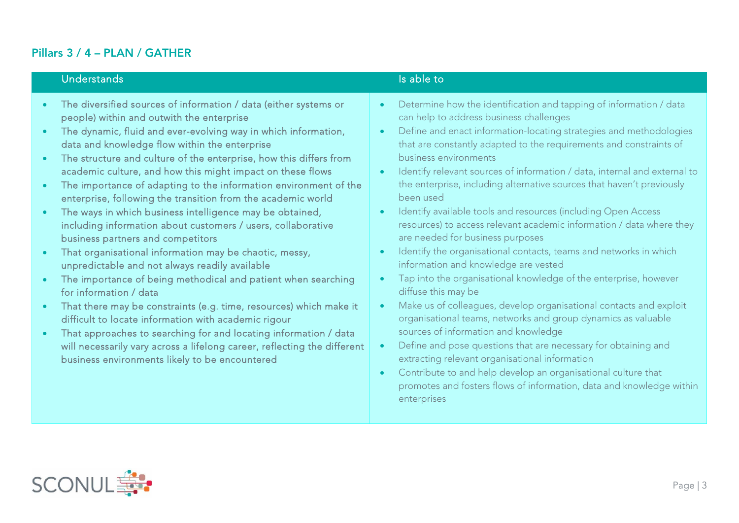# Pillars 3 / 4 – PLAN / GATHER

# Understands **Is able to the United States of the United States and Islands** Is able to

- $\bullet$  The diversified sources of information / data (either systems or people) within and outwith the enterprise
- $\bullet$  The dynamic, fluid and ever-evolving way in which information, data and knowledge flow within the enterprise
- $\bullet$  The structure and culture of the enterprise, how this differs from academic culture, and how this might impact on these flows
- $\bullet$  The importance of adapting to the information environment of the enterprise, following the transition from the academic world
- $\bullet$  The ways in which business intelligence may be obtained, including information about customers / users, collaborative business partners and competitors
- $\bullet$  That organisational information may be chaotic, messy, unpredictable and not always readily available
- $\bullet$  The importance of being methodical and patient when searching for information / data
- $\bullet$  That there may be constraints (e.g. time, resources) which make it difficult to locate information with academic rigour
- $\bullet$  That approaches to searching for and locating information / data will necessarily vary across a lifelong career, reflecting the different business environments likely to be encountered

- $\bullet$  Determine how the identification and tapping of information / data can help to address business challenges
- $\bullet$  Define and enact information-locating strategies and methodologies that are constantly adapted to the requirements and constraints of business environments
- $\bullet$  Identify relevant sources of information / data, internal and external to the enterprise, including alternative sources that haven't previously been used
- $\bullet$  Identify available tools and resources (including Open Access resources) to access relevant academic information / data where they are needed for business purposes
- $\bullet$ Identify the organisational contacts, teams and networks in which information and knowledge are vested
- $\bullet$  Tap into the organisational knowledge of the enterprise, however diffuse this may be
- $\bullet$  Make us of colleagues, develop organisational contacts and exploit organisational teams, networks and group dynamics as valuable sources of information and knowledge
- $\bullet$  Define and pose questions that are necessary for obtaining and extracting relevant organisational information
- $\bullet$  Contribute to and help develop an organisational culture that promotes and fosters flows of information, data and knowledge within enterprises

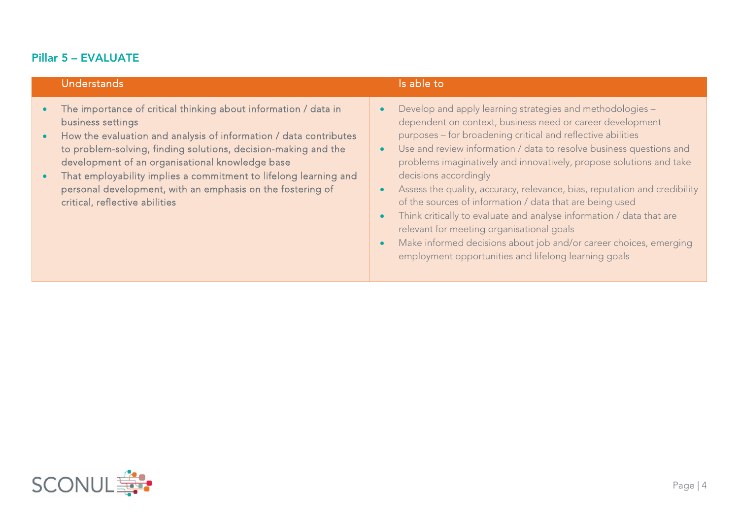# Pillar 5 – EVALUATE

# Understands **Is able to the Understands** Is able to the United States of the United States of the United States of the United States of the United States of the United States of the United States of the United States of th

- $\bullet$  The importance of critical thinking about information / data in business settings
- $\bullet$  How the evaluation and analysis of information / data contributes to problem-solving, finding solutions, decision-making and the development of an organisational knowledge base
- $\bullet$  That employability implies a commitment to lifelong learning and personal development, with an emphasis on the fostering of critical, reflective abilities

- 0 Develop and apply learning strategies and methodologies – dependent on context, business need or career development purposes – for broadening critical and reflective abilities
- $\bullet$  Use and review information / data to resolve business questions and problems imaginatively and innovatively, propose solutions and take decisions accordingly
- $\bullet$  Assess the quality, accuracy, relevance, bias, reputation and credibility of the sources of information / data that are being used
- $\bullet$  Think critically to evaluate and analyse information / data that are relevant for meeting organisational goals
- $\bullet$  Make informed decisions about job and/or career choices, emerging employment opportunities and lifelong learning goals

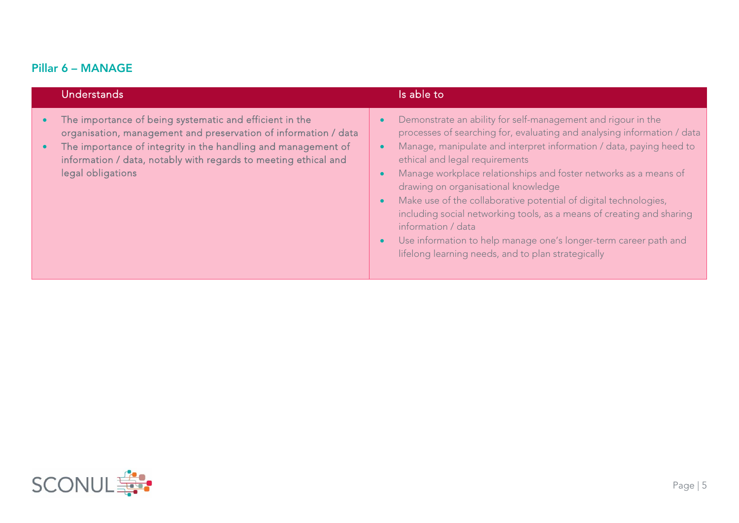# Pillar 6 – MANAGE

| <b>Understands</b>                                                                                                                                                                                                                                                                  | Is able to                                                                                                                                                                                                                                                                                                                                                                                                                                                                                                                                                                                                                                                            |
|-------------------------------------------------------------------------------------------------------------------------------------------------------------------------------------------------------------------------------------------------------------------------------------|-----------------------------------------------------------------------------------------------------------------------------------------------------------------------------------------------------------------------------------------------------------------------------------------------------------------------------------------------------------------------------------------------------------------------------------------------------------------------------------------------------------------------------------------------------------------------------------------------------------------------------------------------------------------------|
| The importance of being systematic and efficient in the<br>organisation, management and preservation of information / data<br>The importance of integrity in the handling and management of<br>information / data, notably with regards to meeting ethical and<br>legal obligations | Demonstrate an ability for self-management and rigour in the<br>processes of searching for, evaluating and analysing information / data<br>Manage, manipulate and interpret information / data, paying heed to<br>ethical and legal requirements<br>Manage workplace relationships and foster networks as a means of<br>drawing on organisational knowledge<br>Make use of the collaborative potential of digital technologies,<br>$\bullet$<br>including social networking tools, as a means of creating and sharing<br>information / data<br>Use information to help manage one's longer-term career path and<br>lifelong learning needs, and to plan strategically |